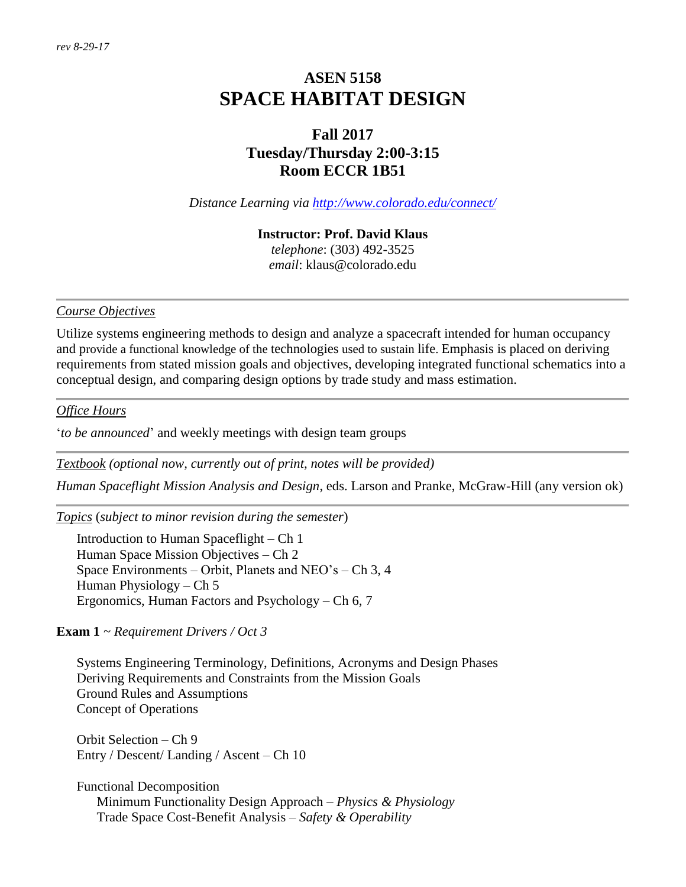# **ASEN 5158 SPACE HABITAT DESIGN**

# **Fall 2017 Tuesday/Thursday 2:00-3:15 Room ECCR 1B51**

*Distance Learning via<http://www.colorado.edu/connect/>*

#### **Instructor: Prof. David Klaus**

*telephone*: (303) 492-3525 *email*: klaus@colorado.edu

#### *Course Objectives*

Utilize systems engineering methods to design and analyze a spacecraft intended for human occupancy and provide a functional knowledge of the technologies used to sustain life. Emphasis is placed on deriving requirements from stated mission goals and objectives, developing integrated functional schematics into a conceptual design, and comparing design options by trade study and mass estimation.

### *Office Hours*

'*to be announced*' and weekly meetings with design team groups

*Textbook (optional now, currently out of print, notes will be provided)*

*Human Spaceflight Mission Analysis and Design*, eds. Larson and Pranke, McGraw-Hill (any version ok)

*Topics* (*subject to minor revision during the semester*)

Introduction to Human Spaceflight – Ch 1 Human Space Mission Objectives – Ch 2 Space Environments – Orbit, Planets and NEO's – Ch 3, 4 Human Physiology – Ch 5 Ergonomics, Human Factors and Psychology – Ch 6, 7

## **Exam 1** *~ Requirement Drivers / Oct 3*

Systems Engineering Terminology, Definitions, Acronyms and Design Phases Deriving Requirements and Constraints from the Mission Goals Ground Rules and Assumptions Concept of Operations

Orbit Selection – Ch 9 Entry / Descent/ Landing / Ascent – Ch 10

Functional Decomposition Minimum Functionality Design Approach – *Physics & Physiology* Trade Space Cost-Benefit Analysis – *Safety & Operability*